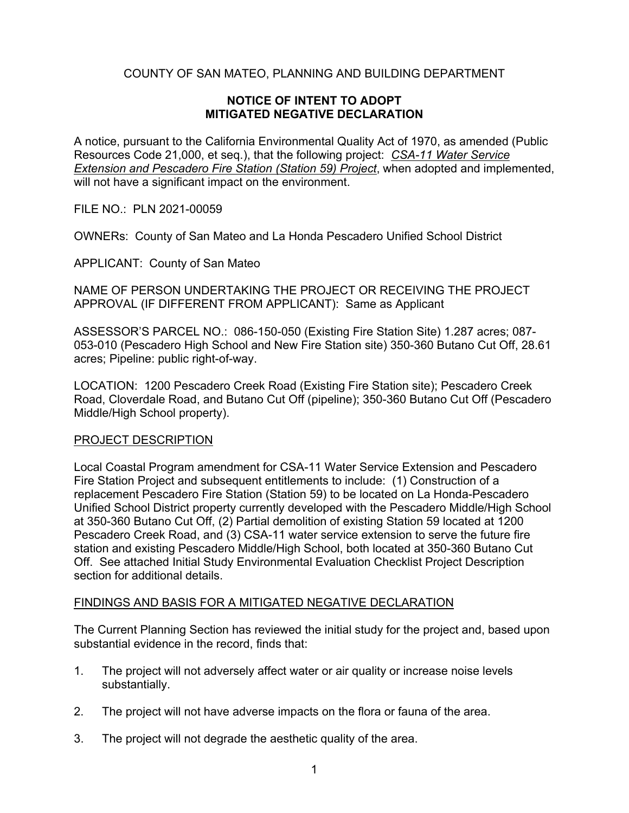## COUNTY OF SAN MATEO, PLANNING AND BUILDING DEPARTMENT

### **NOTICE OF INTENT TO ADOPT MITIGATED NEGATIVE DECLARATION**

A notice, pursuant to the California Environmental Quality Act of 1970, as amended (Public Resources Code 21,000, et seq.), that the following project: *CSA-11 Water Service Extension and Pescadero Fire Station (Station 59) Project*, when adopted and implemented, will not have a significant impact on the environment.

FILE NO.: PLN 2021-00059

OWNERs: County of San Mateo and La Honda Pescadero Unified School District

APPLICANT: County of San Mateo

NAME OF PERSON UNDERTAKING THE PROJECT OR RECEIVING THE PROJECT APPROVAL (IF DIFFERENT FROM APPLICANT): Same as Applicant

ASSESSOR'S PARCEL NO.: 086-150-050 (Existing Fire Station Site) 1.287 acres; 087- 053-010 (Pescadero High School and New Fire Station site) 350-360 Butano Cut Off, 28.61 acres; Pipeline: public right-of-way.

LOCATION: 1200 Pescadero Creek Road (Existing Fire Station site); Pescadero Creek Road, Cloverdale Road, and Butano Cut Off (pipeline); 350-360 Butano Cut Off (Pescadero Middle/High School property).

### PROJECT DESCRIPTION

Local Coastal Program amendment for CSA-11 Water Service Extension and Pescadero Fire Station Project and subsequent entitlements to include: (1) Construction of a replacement Pescadero Fire Station (Station 59) to be located on La Honda-Pescadero Unified School District property currently developed with the Pescadero Middle/High School at 350-360 Butano Cut Off, (2) Partial demolition of existing Station 59 located at 1200 Pescadero Creek Road, and (3) CSA-11 water service extension to serve the future fire station and existing Pescadero Middle/High School, both located at 350-360 Butano Cut Off. See attached Initial Study Environmental Evaluation Checklist Project Description section for additional details.

### FINDINGS AND BASIS FOR A MITIGATED NEGATIVE DECLARATION

The Current Planning Section has reviewed the initial study for the project and, based upon substantial evidence in the record, finds that:

- 1. The project will not adversely affect water or air quality or increase noise levels substantially.
- 2. The project will not have adverse impacts on the flora or fauna of the area.
- 3. The project will not degrade the aesthetic quality of the area.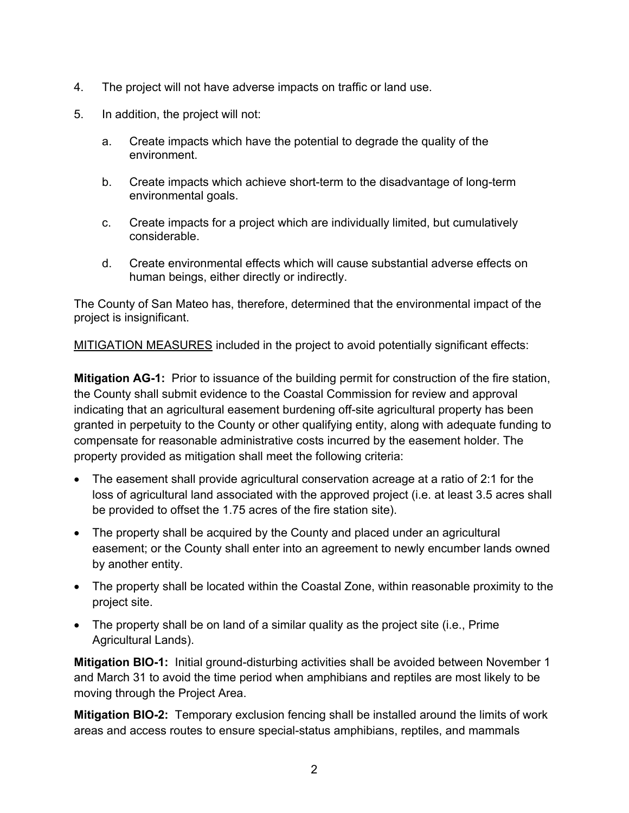- 4. The project will not have adverse impacts on traffic or land use.
- 5. In addition, the project will not:
	- a. Create impacts which have the potential to degrade the quality of the environment.
	- b. Create impacts which achieve short-term to the disadvantage of long-term environmental goals.
	- c. Create impacts for a project which are individually limited, but cumulatively considerable.
	- d. Create environmental effects which will cause substantial adverse effects on human beings, either directly or indirectly.

The County of San Mateo has, therefore, determined that the environmental impact of the project is insignificant.

MITIGATION MEASURES included in the project to avoid potentially significant effects:

**Mitigation AG-1:** Prior to issuance of the building permit for construction of the fire station, the County shall submit evidence to the Coastal Commission for review and approval indicating that an agricultural easement burdening off-site agricultural property has been granted in perpetuity to the County or other qualifying entity, along with adequate funding to compensate for reasonable administrative costs incurred by the easement holder. The property provided as mitigation shall meet the following criteria:

- The easement shall provide agricultural conservation acreage at a ratio of 2:1 for the loss of agricultural land associated with the approved project (i.e. at least 3.5 acres shall be provided to offset the 1.75 acres of the fire station site).
- The property shall be acquired by the County and placed under an agricultural easement; or the County shall enter into an agreement to newly encumber lands owned by another entity.
- The property shall be located within the Coastal Zone, within reasonable proximity to the project site.
- The property shall be on land of a similar quality as the project site (i.e., Prime Agricultural Lands).

**Mitigation BIO-1:** Initial ground-disturbing activities shall be avoided between November 1 and March 31 to avoid the time period when amphibians and reptiles are most likely to be moving through the Project Area.

**Mitigation BIO-2:** Temporary exclusion fencing shall be installed around the limits of work areas and access routes to ensure special-status amphibians, reptiles, and mammals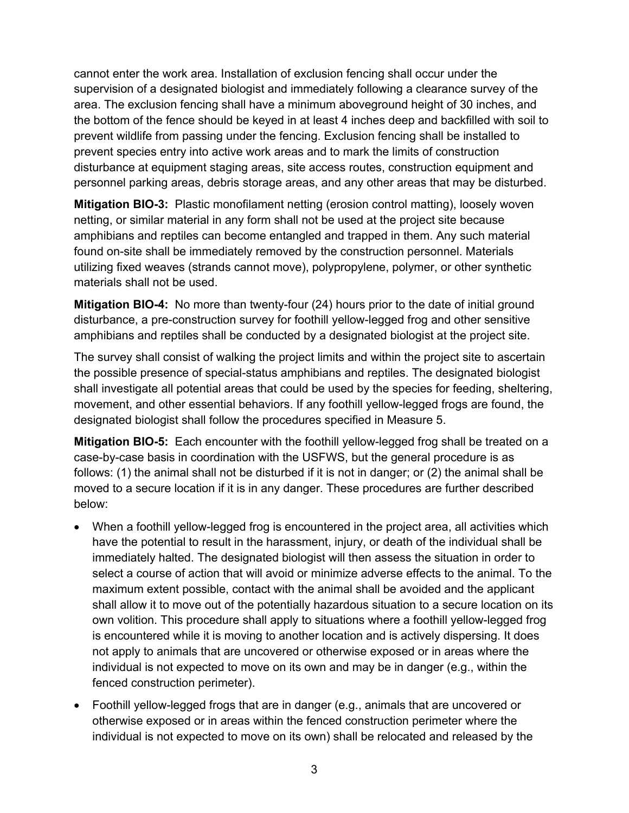cannot enter the work area. Installation of exclusion fencing shall occur under the supervision of a designated biologist and immediately following a clearance survey of the area. The exclusion fencing shall have a minimum aboveground height of 30 inches, and the bottom of the fence should be keyed in at least 4 inches deep and backfilled with soil to prevent wildlife from passing under the fencing. Exclusion fencing shall be installed to prevent species entry into active work areas and to mark the limits of construction disturbance at equipment staging areas, site access routes, construction equipment and personnel parking areas, debris storage areas, and any other areas that may be disturbed.

**Mitigation BIO-3:** Plastic monofilament netting (erosion control matting), loosely woven netting, or similar material in any form shall not be used at the project site because amphibians and reptiles can become entangled and trapped in them. Any such material found on-site shall be immediately removed by the construction personnel. Materials utilizing fixed weaves (strands cannot move), polypropylene, polymer, or other synthetic materials shall not be used.

**Mitigation BIO-4:** No more than twenty-four (24) hours prior to the date of initial ground disturbance, a pre-construction survey for foothill yellow-legged frog and other sensitive amphibians and reptiles shall be conducted by a designated biologist at the project site.

The survey shall consist of walking the project limits and within the project site to ascertain the possible presence of special-status amphibians and reptiles. The designated biologist shall investigate all potential areas that could be used by the species for feeding, sheltering, movement, and other essential behaviors. If any foothill yellow-legged frogs are found, the designated biologist shall follow the procedures specified in Measure 5.

**Mitigation BIO-5:** Each encounter with the foothill yellow-legged frog shall be treated on a case-by-case basis in coordination with the USFWS, but the general procedure is as follows: (1) the animal shall not be disturbed if it is not in danger; or (2) the animal shall be moved to a secure location if it is in any danger. These procedures are further described below:

- When a foothill yellow-legged frog is encountered in the project area, all activities which have the potential to result in the harassment, injury, or death of the individual shall be immediately halted. The designated biologist will then assess the situation in order to select a course of action that will avoid or minimize adverse effects to the animal. To the maximum extent possible, contact with the animal shall be avoided and the applicant shall allow it to move out of the potentially hazardous situation to a secure location on its own volition. This procedure shall apply to situations where a foothill yellow-legged frog is encountered while it is moving to another location and is actively dispersing. It does not apply to animals that are uncovered or otherwise exposed or in areas where the individual is not expected to move on its own and may be in danger (e.g., within the fenced construction perimeter).
- Foothill yellow-legged frogs that are in danger (e.g., animals that are uncovered or otherwise exposed or in areas within the fenced construction perimeter where the individual is not expected to move on its own) shall be relocated and released by the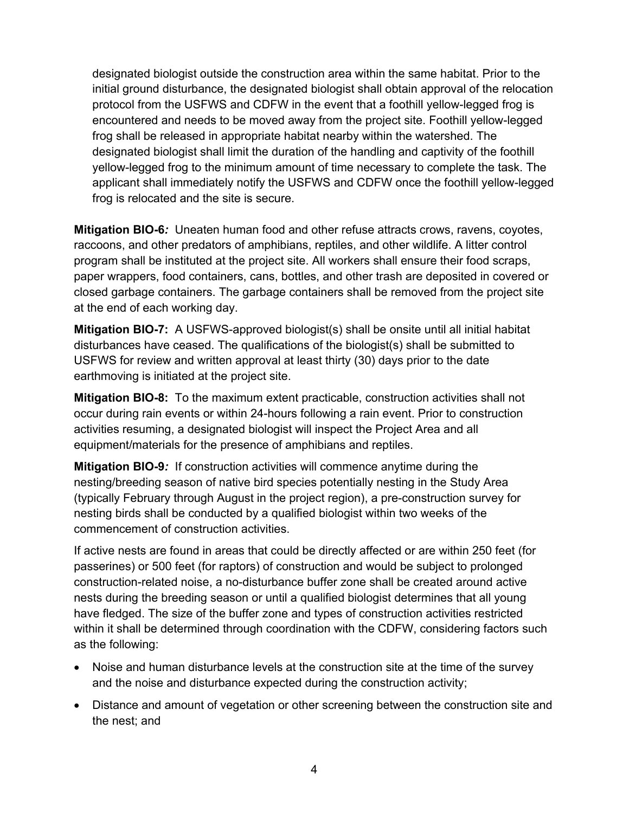designated biologist outside the construction area within the same habitat. Prior to the initial ground disturbance, the designated biologist shall obtain approval of the relocation protocol from the USFWS and CDFW in the event that a foothill yellow-legged frog is encountered and needs to be moved away from the project site. Foothill yellow-legged frog shall be released in appropriate habitat nearby within the watershed. The designated biologist shall limit the duration of the handling and captivity of the foothill yellow-legged frog to the minimum amount of time necessary to complete the task. The applicant shall immediately notify the USFWS and CDFW once the foothill yellow-legged frog is relocated and the site is secure.

**Mitigation BIO-6***:* Uneaten human food and other refuse attracts crows, ravens, coyotes, raccoons, and other predators of amphibians, reptiles, and other wildlife. A litter control program shall be instituted at the project site. All workers shall ensure their food scraps, paper wrappers, food containers, cans, bottles, and other trash are deposited in covered or closed garbage containers. The garbage containers shall be removed from the project site at the end of each working day.

**Mitigation BIO-7:** A USFWS-approved biologist(s) shall be onsite until all initial habitat disturbances have ceased. The qualifications of the biologist(s) shall be submitted to USFWS for review and written approval at least thirty (30) days prior to the date earthmoving is initiated at the project site.

**Mitigation BIO-8:** To the maximum extent practicable, construction activities shall not occur during rain events or within 24-hours following a rain event. Prior to construction activities resuming, a designated biologist will inspect the Project Area and all equipment/materials for the presence of amphibians and reptiles.

**Mitigation BIO-9***:* If construction activities will commence anytime during the nesting/breeding season of native bird species potentially nesting in the Study Area (typically February through August in the project region), a pre-construction survey for nesting birds shall be conducted by a qualified biologist within two weeks of the commencement of construction activities.

If active nests are found in areas that could be directly affected or are within 250 feet (for passerines) or 500 feet (for raptors) of construction and would be subject to prolonged construction-related noise, a no-disturbance buffer zone shall be created around active nests during the breeding season or until a qualified biologist determines that all young have fledged. The size of the buffer zone and types of construction activities restricted within it shall be determined through coordination with the CDFW, considering factors such as the following:

- Noise and human disturbance levels at the construction site at the time of the survey and the noise and disturbance expected during the construction activity;
- Distance and amount of vegetation or other screening between the construction site and the nest; and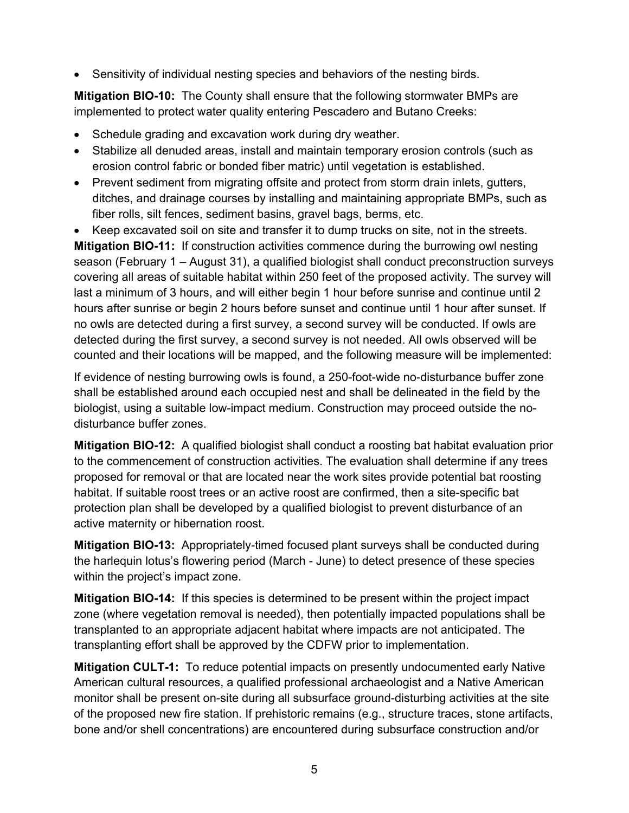Sensitivity of individual nesting species and behaviors of the nesting birds.

**Mitigation BIO-10:** The County shall ensure that the following stormwater BMPs are implemented to protect water quality entering Pescadero and Butano Creeks:

- Schedule grading and excavation work during dry weather.
- Stabilize all denuded areas, install and maintain temporary erosion controls (such as erosion control fabric or bonded fiber matric) until vegetation is established.
- Prevent sediment from migrating offsite and protect from storm drain inlets, gutters, ditches, and drainage courses by installing and maintaining appropriate BMPs, such as fiber rolls, silt fences, sediment basins, gravel bags, berms, etc.
- Keep excavated soil on site and transfer it to dump trucks on site, not in the streets.

**Mitigation BIO-11:** If construction activities commence during the burrowing owl nesting season (February 1 – August 31), a qualified biologist shall conduct preconstruction surveys covering all areas of suitable habitat within 250 feet of the proposed activity. The survey will last a minimum of 3 hours, and will either begin 1 hour before sunrise and continue until 2 hours after sunrise or begin 2 hours before sunset and continue until 1 hour after sunset. If no owls are detected during a first survey, a second survey will be conducted. If owls are detected during the first survey, a second survey is not needed. All owls observed will be counted and their locations will be mapped, and the following measure will be implemented:

If evidence of nesting burrowing owls is found, a 250-foot-wide no-disturbance buffer zone shall be established around each occupied nest and shall be delineated in the field by the biologist, using a suitable low-impact medium. Construction may proceed outside the nodisturbance buffer zones.

**Mitigation BIO-12:** A qualified biologist shall conduct a roosting bat habitat evaluation prior to the commencement of construction activities. The evaluation shall determine if any trees proposed for removal or that are located near the work sites provide potential bat roosting habitat. If suitable roost trees or an active roost are confirmed, then a site-specific bat protection plan shall be developed by a qualified biologist to prevent disturbance of an active maternity or hibernation roost.

**Mitigation BIO-13:** Appropriately-timed focused plant surveys shall be conducted during the harlequin lotus's flowering period (March - June) to detect presence of these species within the project's impact zone.

**Mitigation BIO-14:** If this species is determined to be present within the project impact zone (where vegetation removal is needed), then potentially impacted populations shall be transplanted to an appropriate adjacent habitat where impacts are not anticipated. The transplanting effort shall be approved by the CDFW prior to implementation.

**Mitigation CULT-1:** To reduce potential impacts on presently undocumented early Native American cultural resources, a qualified professional archaeologist and a Native American monitor shall be present on-site during all subsurface ground-disturbing activities at the site of the proposed new fire station. If prehistoric remains (e.g., structure traces, stone artifacts, bone and/or shell concentrations) are encountered during subsurface construction and/or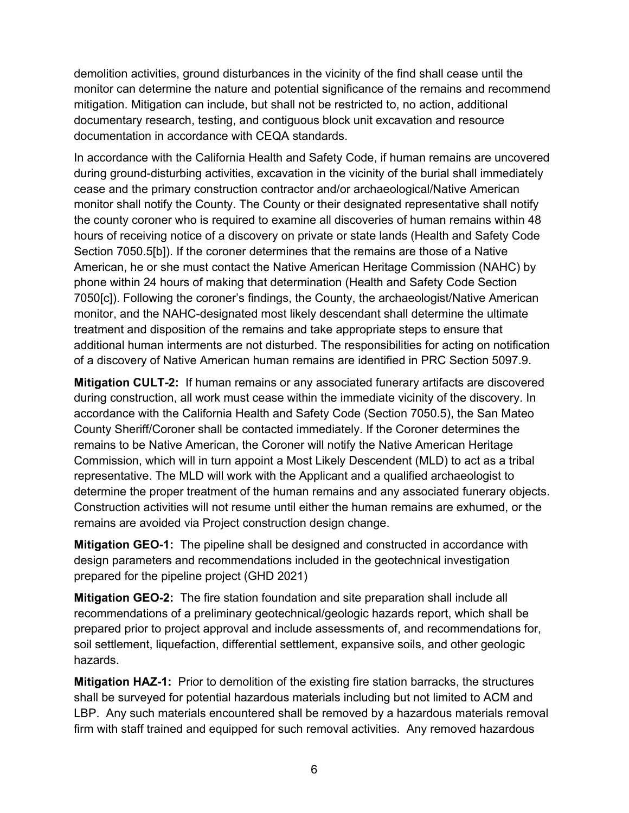demolition activities, ground disturbances in the vicinity of the find shall cease until the monitor can determine the nature and potential significance of the remains and recommend mitigation. Mitigation can include, but shall not be restricted to, no action, additional documentary research, testing, and contiguous block unit excavation and resource documentation in accordance with CEQA standards.

In accordance with the California Health and Safety Code, if human remains are uncovered during ground-disturbing activities, excavation in the vicinity of the burial shall immediately cease and the primary construction contractor and/or archaeological/Native American monitor shall notify the County. The County or their designated representative shall notify the county coroner who is required to examine all discoveries of human remains within 48 hours of receiving notice of a discovery on private or state lands (Health and Safety Code Section 7050.5[b]). If the coroner determines that the remains are those of a Native American, he or she must contact the Native American Heritage Commission (NAHC) by phone within 24 hours of making that determination (Health and Safety Code Section 7050[c]). Following the coroner's findings, the County, the archaeologist/Native American monitor, and the NAHC-designated most likely descendant shall determine the ultimate treatment and disposition of the remains and take appropriate steps to ensure that additional human interments are not disturbed. The responsibilities for acting on notification of a discovery of Native American human remains are identified in PRC Section 5097.9.

**Mitigation CULT-2:** If human remains or any associated funerary artifacts are discovered during construction, all work must cease within the immediate vicinity of the discovery. In accordance with the California Health and Safety Code (Section 7050.5), the San Mateo County Sheriff/Coroner shall be contacted immediately. If the Coroner determines the remains to be Native American, the Coroner will notify the Native American Heritage Commission, which will in turn appoint a Most Likely Descendent (MLD) to act as a tribal representative. The MLD will work with the Applicant and a qualified archaeologist to determine the proper treatment of the human remains and any associated funerary objects. Construction activities will not resume until either the human remains are exhumed, or the remains are avoided via Project construction design change.

**Mitigation GEO-1:** The pipeline shall be designed and constructed in accordance with design parameters and recommendations included in the geotechnical investigation prepared for the pipeline project (GHD 2021)

**Mitigation GEO-2:** The fire station foundation and site preparation shall include all recommendations of a preliminary geotechnical/geologic hazards report, which shall be prepared prior to project approval and include assessments of, and recommendations for, soil settlement, liquefaction, differential settlement, expansive soils, and other geologic hazards.

**Mitigation HAZ-1:**Prior to demolition of the existing fire station barracks, the structures shall be surveyed for potential hazardous materials including but not limited to ACM and LBP. Any such materials encountered shall be removed by a hazardous materials removal firm with staff trained and equipped for such removal activities. Any removed hazardous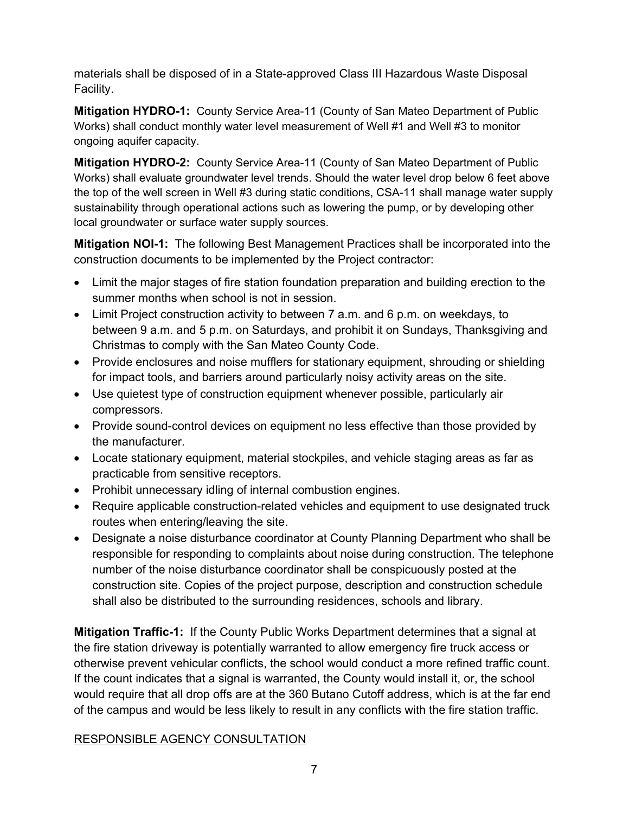materials shall be disposed of in a State-approved Class III Hazardous Waste Disposal Facility.

**Mitigation HYDRO-1:** County Service Area-11 (County of San Mateo Department of Public Works) shall conduct monthly water level measurement of Well #1 and Well #3 to monitor ongoing aquifer capacity.

**Mitigation HYDRO-2:** County Service Area-11 (County of San Mateo Department of Public Works) shall evaluate groundwater level trends. Should the water level drop below 6 feet above the top of the well screen in Well #3 during static conditions, CSA-11 shall manage water supply sustainability through operational actions such as lowering the pump, or by developing other local groundwater or surface water supply sources.

**Mitigation NOI-1:** The following Best Management Practices shall be incorporated into the construction documents to be implemented by the Project contractor:

- Limit the major stages of fire station foundation preparation and building erection to the summer months when school is not in session.
- Limit Project construction activity to between 7 a.m. and 6 p.m. on weekdays, to between 9 a.m. and 5 p.m. on Saturdays, and prohibit it on Sundays, Thanksgiving and Christmas to comply with the San Mateo County Code.
- Provide enclosures and noise mufflers for stationary equipment, shrouding or shielding for impact tools, and barriers around particularly noisy activity areas on the site.
- Use quietest type of construction equipment whenever possible, particularly air compressors.
- Provide sound-control devices on equipment no less effective than those provided by the manufacturer.
- Locate stationary equipment, material stockpiles, and vehicle staging areas as far as practicable from sensitive receptors.
- Prohibit unnecessary idling of internal combustion engines.
- Require applicable construction-related vehicles and equipment to use designated truck routes when entering/leaving the site.
- Designate a noise disturbance coordinator at County Planning Department who shall be responsible for responding to complaints about noise during construction. The telephone number of the noise disturbance coordinator shall be conspicuously posted at the construction site. Copies of the project purpose, description and construction schedule shall also be distributed to the surrounding residences, schools and library.

**Mitigation Traffic-1:** If the County Public Works Department determines that a signal at the fire station driveway is potentially warranted to allow emergency fire truck access or otherwise prevent vehicular conflicts, the school would conduct a more refined traffic count. If the count indicates that a signal is warranted, the County would install it, or, the school would require that all drop offs are at the 360 Butano Cutoff address, which is at the far end of the campus and would be less likely to result in any conflicts with the fire station traffic.

# RESPONSIBLE AGENCY CONSULTATION